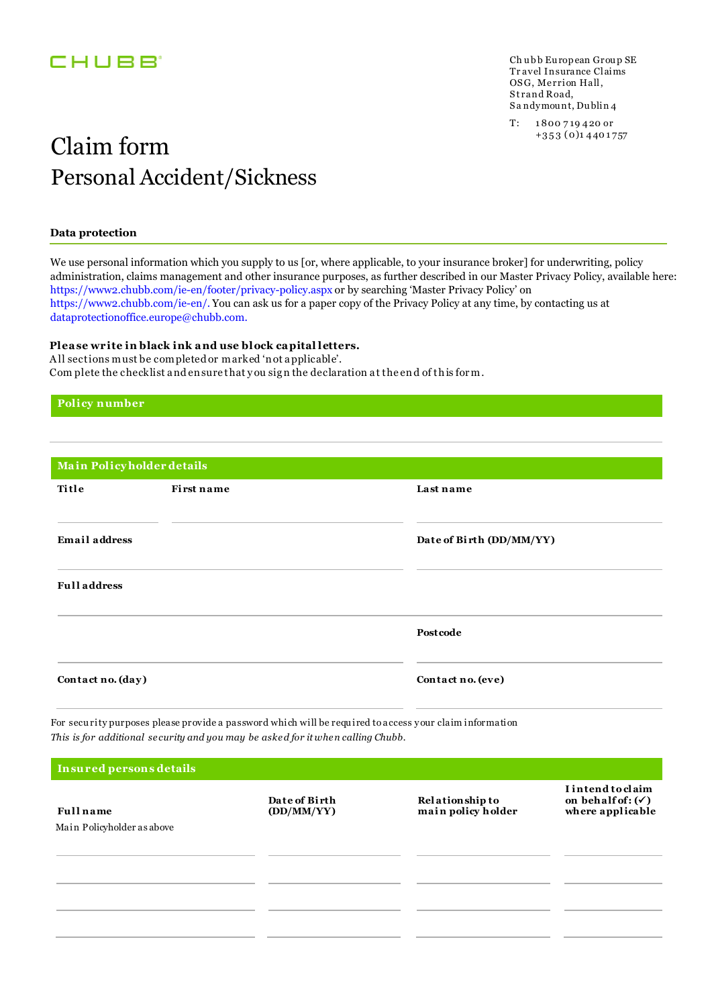### **CHUBB**

Ch ubb European Group SE Tr avel Insurance Claims OSG, Merrion Hall, Strand Road, S a ndymou nt, Du blin 4

T: 1 800 7 19 4 20 or

# $Claim form$ <sup>+353(0)14401757</sup> Personal Accident/Sickness

### **Data protection**

We use personal information which you supply to us [or, where applicable, to your insurance broker] for underwriting, policy administration, claims management and other insurance purposes, as further described in our Master Privacy Policy, available here: https://www2.chubb.com/ie-en/footer/privacy-policy.aspx or by searching 'Master Privacy Policy' on https://www2.chubb.com/ie-en/. You can ask us for a paper copy of the Privacy Policy at any time, by contacting us at dataprotectionoffice.europe@chubb.com.

#### **Plea se write in black ink a nd use block ca pital letters.**

A ll sections must be completed or marked 'n ot a pplicable'. Com plete the checklist a nd en sure that y ou sig n the declaration a t the en d of th is for m.

#### **Policy number**

| Title<br>First name  | Last name                |
|----------------------|--------------------------|
| <b>Email address</b> | Date of Birth (DD/MM/YY) |
| <b>Full address</b>  |                          |
|                      | Postcode                 |
| Contact no. (day)    | Contact no. (eve)        |

| Insured persons details                        |                             |                                              |                                                                       |  |
|------------------------------------------------|-----------------------------|----------------------------------------------|-----------------------------------------------------------------------|--|
| <b>Full</b> name<br>Main Policyholder as above | Date of Birth<br>(DD/MM/YY) | <b>Relationship to</b><br>main policy holder | I intend to claim<br>on behalf of: $(\checkmark)$<br>where applicable |  |
|                                                |                             |                                              |                                                                       |  |
|                                                |                             |                                              |                                                                       |  |
|                                                |                             |                                              |                                                                       |  |
|                                                |                             |                                              |                                                                       |  |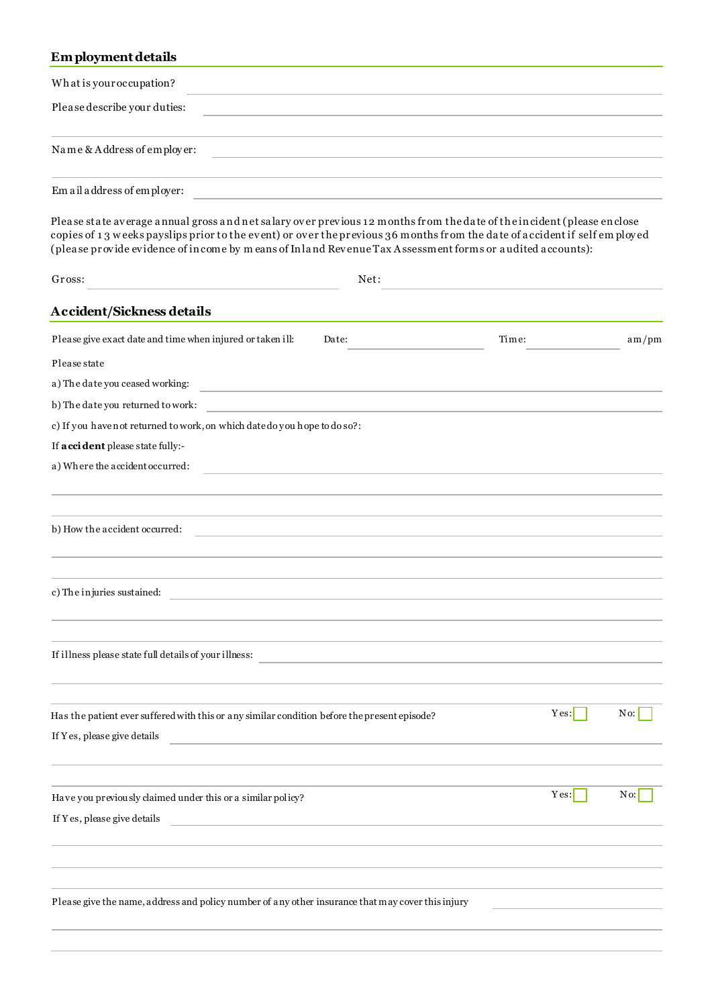### Em ployment details

| What is your occupation?                                                                                                                                                                                                                                                                                                                                        |                                                                            |       |      |        |
|-----------------------------------------------------------------------------------------------------------------------------------------------------------------------------------------------------------------------------------------------------------------------------------------------------------------------------------------------------------------|----------------------------------------------------------------------------|-------|------|--------|
| Please describe your duties:                                                                                                                                                                                                                                                                                                                                    |                                                                            |       |      |        |
| Name & Address of employer:                                                                                                                                                                                                                                                                                                                                     | the control of the control of the control of the control of the control of |       |      |        |
| Em a il a ddress of employer:                                                                                                                                                                                                                                                                                                                                   | the control of the control of the control of the control of the control of |       |      |        |
| Please state average annual gross and net salary over previous 12 months from the date of the incident (please enclose<br>copies of 13 weeks payslips prior to the event) or over the previous 36 months from the date of accident if self employed<br>(please provide evidence of income by means of Inland Revenue Tax Assessment forms or audited accounts): |                                                                            |       |      |        |
| Gross:                                                                                                                                                                                                                                                                                                                                                          | Net:                                                                       |       |      |        |
| <b>Accident/Sickness details</b>                                                                                                                                                                                                                                                                                                                                |                                                                            |       |      |        |
| Please give exact date and time when injured or taken ill:                                                                                                                                                                                                                                                                                                      | Date:                                                                      | Time: |      | am/pm  |
| Please state                                                                                                                                                                                                                                                                                                                                                    |                                                                            |       |      |        |
| a) The date you ceased working:                                                                                                                                                                                                                                                                                                                                 |                                                                            |       |      |        |
| b) The date you returned to work:                                                                                                                                                                                                                                                                                                                               |                                                                            |       |      |        |
| c) If you have not returned to work, on which datedo you hope to do so?:                                                                                                                                                                                                                                                                                        |                                                                            |       |      |        |
| If <b>a cci dent</b> please state fully:-                                                                                                                                                                                                                                                                                                                       |                                                                            |       |      |        |
| a) Where the accident occurred:                                                                                                                                                                                                                                                                                                                                 |                                                                            |       |      |        |
|                                                                                                                                                                                                                                                                                                                                                                 |                                                                            |       |      |        |
|                                                                                                                                                                                                                                                                                                                                                                 |                                                                            |       |      |        |
| b) How the accident occurred:                                                                                                                                                                                                                                                                                                                                   | <u> 1989 - Andrea Stadt Britain, amerikansk politiker (d. 1989)</u>        |       |      |        |
| c) The injuries sustained:                                                                                                                                                                                                                                                                                                                                      |                                                                            |       |      |        |
| If illness please state full details of your illness:                                                                                                                                                                                                                                                                                                           |                                                                            |       |      |        |
|                                                                                                                                                                                                                                                                                                                                                                 |                                                                            |       |      |        |
| Has the patient ever suffered with this or any similar condition before the present episode?                                                                                                                                                                                                                                                                    |                                                                            |       | Yes: | No:    |
| If Yes, please give details                                                                                                                                                                                                                                                                                                                                     |                                                                            |       |      |        |
|                                                                                                                                                                                                                                                                                                                                                                 |                                                                            |       | Yes: | $No$ : |
| Have you previously claimed under this or a similar policy?                                                                                                                                                                                                                                                                                                     |                                                                            |       |      |        |
| If Yes, please give details<br><u> 1989 - Johann Harry Barn, mars an t-Amerikaansk kommunister (</u>                                                                                                                                                                                                                                                            |                                                                            |       |      |        |
|                                                                                                                                                                                                                                                                                                                                                                 |                                                                            |       |      |        |
| Please give the name, address and policy number of any other insurance that may cover this injury                                                                                                                                                                                                                                                               |                                                                            |       |      |        |
|                                                                                                                                                                                                                                                                                                                                                                 |                                                                            |       |      |        |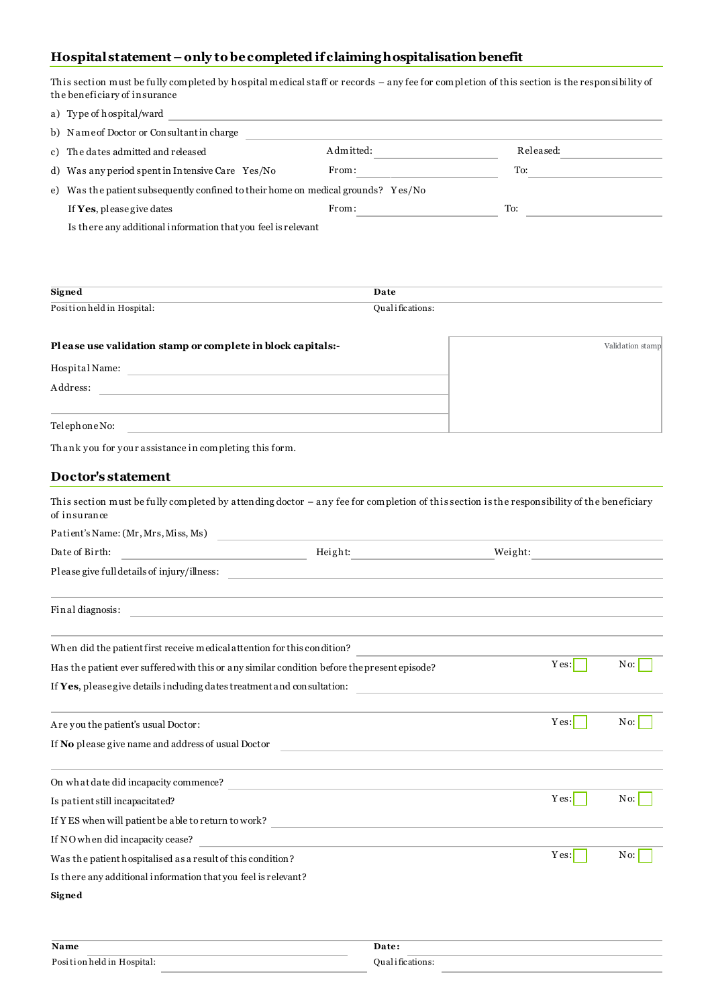### **Hospital statement – only to be completed if claiming hospitalisation benefit**

| This section must be fully completed by hospital medical staff or records – any fee for completion of this section is the responsibility of<br>the beneficiary of insurance |                                                             |                                                                            |                 |                  |
|-----------------------------------------------------------------------------------------------------------------------------------------------------------------------------|-------------------------------------------------------------|----------------------------------------------------------------------------|-----------------|------------------|
| a) Type of hospital/ward<br><u> 1989 - Johann Stein, marwolaethau a bhann an t-Amhair an t-Amhair an t-Amhair an t-Amhair an t-Amhair an t-A</u>                            |                                                             |                                                                            |                 |                  |
| b) Name of Doctor or Consultant in charge                                                                                                                                   |                                                             | the control of the control of the control of the control of the control of |                 |                  |
| c) The dates admitted and released                                                                                                                                          |                                                             | Admitted:                                                                  | Released:       |                  |
| d) Was any period spent in Intensive Care Yes/No                                                                                                                            | From:                                                       |                                                                            | To:             |                  |
| e) Was the patient subsequently confined to their home on medical grounds? Yes/No                                                                                           |                                                             |                                                                            |                 |                  |
| If Yes, please give dates                                                                                                                                                   | From:                                                       |                                                                            | To:             |                  |
| Is there any additional information that you feel is relevant                                                                                                               |                                                             |                                                                            |                 |                  |
|                                                                                                                                                                             |                                                             |                                                                            |                 |                  |
|                                                                                                                                                                             |                                                             |                                                                            |                 |                  |
| <b>Signed</b>                                                                                                                                                               | Date                                                        |                                                                            |                 |                  |
| Position held in Hospital:                                                                                                                                                  | Qualifications:                                             |                                                                            |                 |                  |
| Please use validation stamp or complete in block capitals:-                                                                                                                 |                                                             |                                                                            |                 | Validation stamp |
|                                                                                                                                                                             |                                                             |                                                                            |                 |                  |
| Address:                                                                                                                                                                    |                                                             |                                                                            |                 |                  |
| <u> 1980 - Johann Barn, amerikansk politiker (d. 1980)</u>                                                                                                                  |                                                             |                                                                            |                 |                  |
| Telephone No:                                                                                                                                                               |                                                             |                                                                            |                 |                  |
| Thank you for your assistance in completing this form.                                                                                                                      |                                                             |                                                                            |                 |                  |
| Doctor's statement                                                                                                                                                          |                                                             |                                                                            |                 |                  |
|                                                                                                                                                                             |                                                             |                                                                            |                 |                  |
| This section must be fully completed by attending doctor - any fee for completion of this section is the responsibility of the beneficiary<br>of insurance                  |                                                             |                                                                            |                 |                  |
| Patient's Name: (Mr, Mrs, Miss, Ms)                                                                                                                                         | <u> 1989 - Andrea Stadt, amerikansk politiker (d. 1989)</u> |                                                                            |                 |                  |
| Date of Birth:<br><u> 1989 - John Stein, mars and de Brande</u>                                                                                                             |                                                             |                                                                            | Height: Weight: |                  |
| Please give full details of injury/illness:                                                                                                                                 |                                                             |                                                                            |                 |                  |
|                                                                                                                                                                             |                                                             |                                                                            |                 |                  |
| Final diagnosis:                                                                                                                                                            |                                                             |                                                                            |                 |                  |
|                                                                                                                                                                             |                                                             |                                                                            |                 |                  |
| When did the patient first receive medical attention for this condition?                                                                                                    |                                                             |                                                                            |                 |                  |
| Has the patient ever suffered with this or any similar condition before the present episode?                                                                                |                                                             |                                                                            | Yes:            | No:              |
| If Yes, please give details including dates treatment and consultation:                                                                                                     |                                                             |                                                                            |                 |                  |
| Are you the patient's usual Doctor:                                                                                                                                         |                                                             |                                                                            | Yes:            | No:              |
| If No please give name and address of usual Doctor                                                                                                                          |                                                             |                                                                            |                 |                  |
|                                                                                                                                                                             |                                                             |                                                                            |                 |                  |
|                                                                                                                                                                             |                                                             |                                                                            |                 |                  |
| Is patient still incapacitated?                                                                                                                                             |                                                             |                                                                            | Yes:            | No:              |
| If YES when will patient be able to return to work?<br>$\hfill\blacksquare$                                                                                                 |                                                             |                                                                            |                 |                  |
| If NO when did incapacity cease?                                                                                                                                            |                                                             |                                                                            | Yes:            | No:              |
| Was the patient hospitalised as a result of this condition?                                                                                                                 |                                                             |                                                                            |                 |                  |
| Is there any additional information that you feel is relevant?                                                                                                              |                                                             |                                                                            |                 |                  |
| Signed                                                                                                                                                                      |                                                             |                                                                            |                 |                  |
|                                                                                                                                                                             |                                                             |                                                                            |                 |                  |
| Name                                                                                                                                                                        | Date:                                                       |                                                                            |                 |                  |

| Position held in Hospital | and the control of the con- |
|---------------------------|-----------------------------|